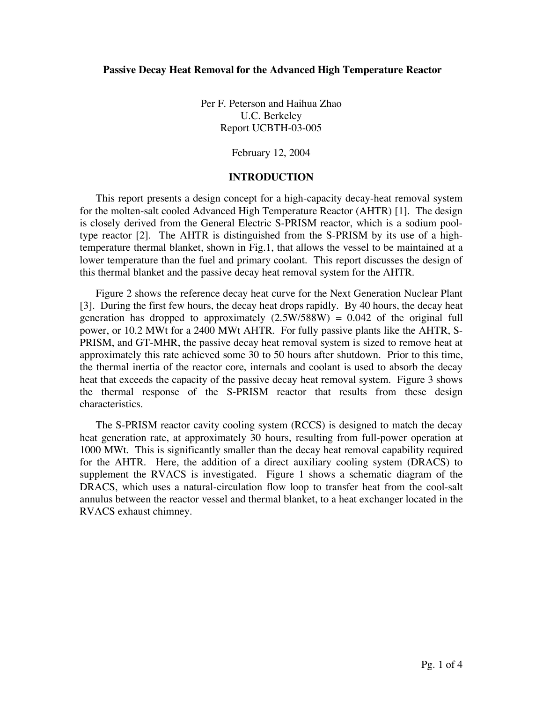Per F. Peterson and Haihua Zhao U.C. Berkeley Report UCBTH-03-005

## February 12, 2004

## **INTRODUCTION**

This report presents a design concept for a high-capacity decay-heat removal system for the molten-salt cooled Advanced High Temperature Reactor (AHTR) [1]. The design is closely derived from the General Electric S-PRISM reactor, which is a sodium pooltype reactor [2]. The AHTR is distinguished from the S-PRISM by its use of a hightemperature thermal blanket, shown in Fig.1, that allows the vessel to be maintained at a lower temperature than the fuel and primary coolant. This report discusses the design of this thermal blanket and the passive decay heat removal system for the AHTR.

Figure 2 shows the reference decay heat curve for the Next Generation Nuclear Plant [3]. During the first few hours, the decay heat drops rapidly. By 40 hours, the decay heat generation has dropped to approximately  $(2.5W/588W) = 0.042$  of the original full power, or 10.2 MWt for a 2400 MWt AHTR. For fully passive plants like the AHTR, S-PRISM, and GT-MHR, the passive decay heat removal system is sized to remove heat at approximately this rate achieved some 30 to 50 hours after shutdown. Prior to this time, the thermal inertia of the reactor core, internals and coolant is used to absorb the decay heat that exceeds the capacity of the passive decay heat removal system. Figure 3 shows the thermal response of the S-PRISM reactor that results from these design characteristics.

The S-PRISM reactor cavity cooling system (RCCS) is designed to match the decay heat generation rate, at approximately 30 hours, resulting from full-power operation at 1000 MWt. This is significantly smaller than the decay heat removal capability required for the AHTR. Here, the addition of a direct auxiliary cooling system (DRACS) to supplement the RVACS is investigated. Figure 1 shows a schematic diagram of the DRACS, which uses a natural-circulation flow loop to transfer heat from the cool-salt annulus between the reactor vessel and thermal blanket, to a heat exchanger located in the RVACS exhaust chimney.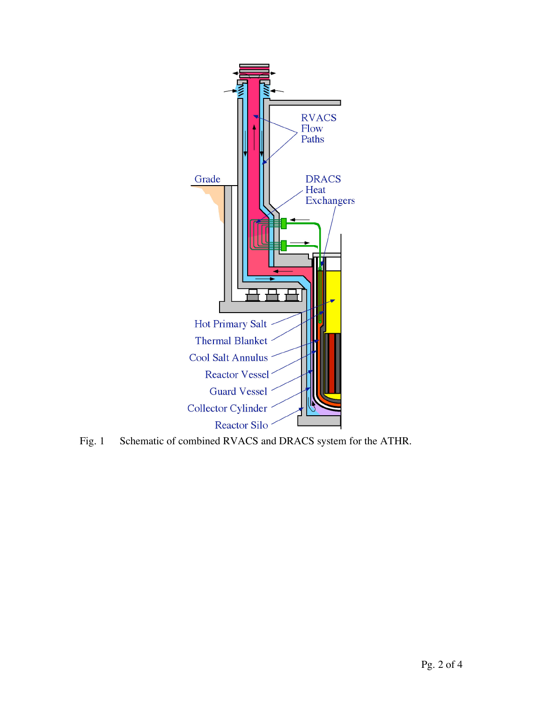

Fig. 1 Schematic of combined RVACS and DRACS system for the ATHR.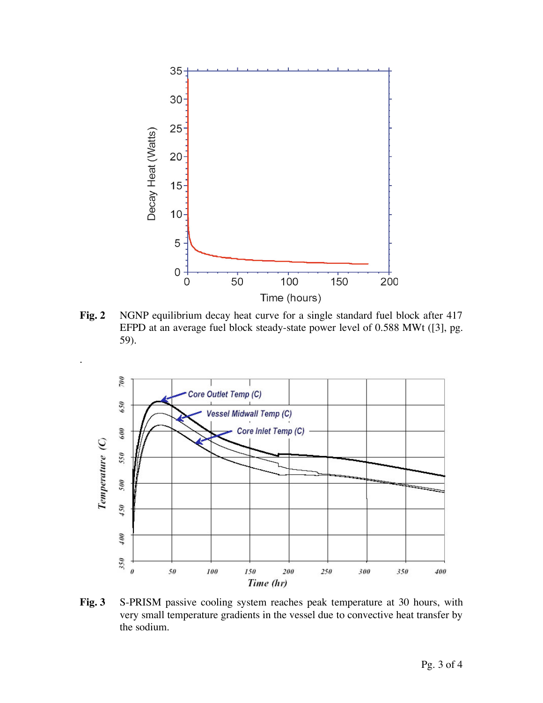

**Fig. 2** NGNP equilibrium decay heat curve for a single standard fuel block after 417 EFPD at an average fuel block steady-state power level of 0.588 MWt ([3], pg. 59).

.



**Fig. 3** S-PRISM passive cooling system reaches peak temperature at 30 hours, with very small temperature gradients in the vessel due to convective heat transfer by the sodium.